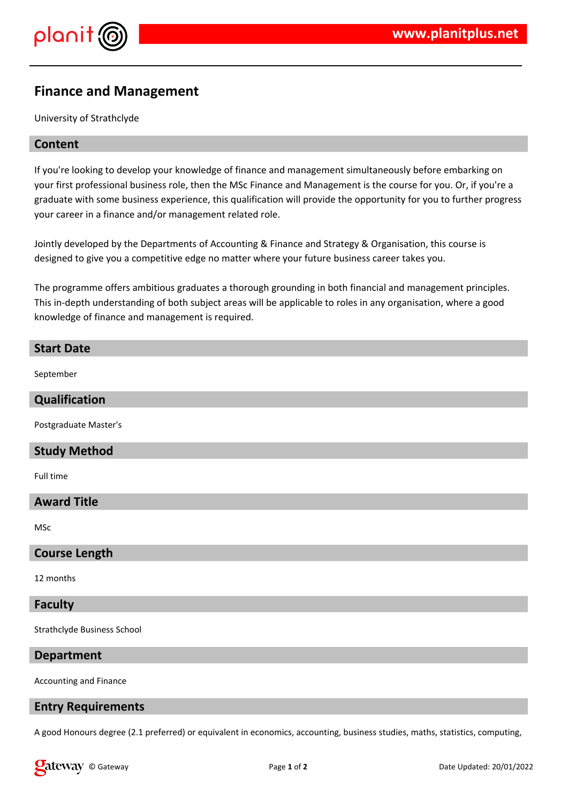

## **Finance and Management**

University of Strathclyde

## **Content**

If you're looking to develop your knowledge of finance and management simultaneously before embarking on your first professional business role, then the MSc Finance and Management is the course for you. Or, if you're a graduate with some business experience, this qualification will provide the opportunity for you to further progress your career in a finance and/or management related role.

Jointly developed by the Departments of Accounting & Finance and Strategy & Organisation, this course is designed to give you a competitive edge no matter where your future business career takes you.

The programme offers ambitious graduates a thorough grounding in both financial and management principles. This in-depth understanding of both subject areas will be applicable to roles in any organisation, where a good knowledge of finance and management is required.

# **Start Date** September **Qualification** Postgraduate Master's **Study Method** Full time **Award Title** MSc **Course Length** 12 months **Faculty**

Strathclyde Business School

#### **Department**

Accounting and Finance

### **Entry Requirements**

A good Honours degree (2.1 preferred) or equivalent in economics, accounting, business studies, maths, statistics, computing,